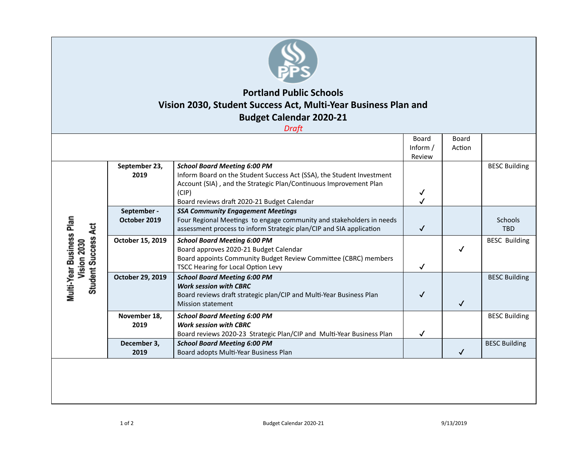

## **Portland Public Schools Vision 2030, Student Success Act, Multi-Year Business Plan and Budget Calendar 2020-21**

*Draft*

|                                                                       |                             |                                                                                                                                                                                                                                           | Board<br>Inform $/$<br>Review | Board<br>Action |                       |
|-----------------------------------------------------------------------|-----------------------------|-------------------------------------------------------------------------------------------------------------------------------------------------------------------------------------------------------------------------------------------|-------------------------------|-----------------|-----------------------|
| Multi-Year Business Plan<br><b>Student Success Act</b><br>Vision 2030 | September 23,<br>2019       | <b>School Board Meeting 6:00 PM</b><br>Inform Board on the Student Success Act (SSA), the Student Investment<br>Account (SIA), and the Strategic Plan/Continuous Improvement Plan<br>(CIP)<br>Board reviews draft 2020-21 Budget Calendar |                               |                 | <b>BESC Building</b>  |
|                                                                       | September -<br>October 2019 | <b>SSA Community Engagement Meetings</b><br>Four Regional Meetings to engage community and stakeholders in needs<br>assessment process to inform Strategic plan/CIP and SIA application                                                   | ✓                             |                 | Schools<br><b>TBD</b> |
|                                                                       | October 15, 2019            | <b>School Board Meeting 6:00 PM</b><br>Board approves 2020-21 Budget Calendar<br>Board appoints Community Budget Review Committee (CBRC) members<br>TSCC Hearing for Local Option Levy                                                    | ✓                             |                 | <b>BESC Building</b>  |
|                                                                       | October 29, 2019            | <b>School Board Meeting 6:00 PM</b><br><b>Work session with CBRC</b><br>Board reviews draft strategic plan/CIP and Multi-Year Business Plan<br><b>Mission statement</b>                                                                   |                               | √               | <b>BESC Building</b>  |
|                                                                       | November 18,<br>2019        | <b>School Board Meeting 6:00 PM</b><br><b>Work session with CBRC</b><br>Board reviews 2020-23 Strategic Plan/CIP and Multi-Year Business Plan                                                                                             |                               |                 | <b>BESC Building</b>  |
|                                                                       | December 3,<br>2019         | <b>School Board Meeting 6:00 PM</b><br>Board adopts Multi-Year Business Plan                                                                                                                                                              |                               |                 | <b>BESC Building</b>  |
|                                                                       |                             |                                                                                                                                                                                                                                           |                               |                 |                       |